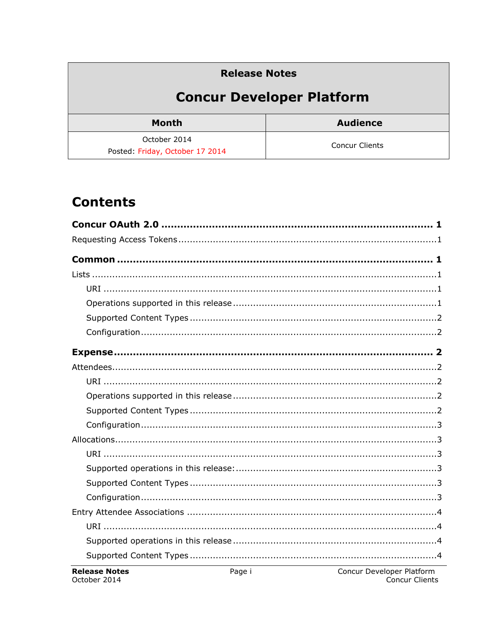| <b>Release Notes</b>                            |                       |  |
|-------------------------------------------------|-----------------------|--|
| <b>Concur Developer Platform</b>                |                       |  |
| <b>Month</b>                                    | <b>Audience</b>       |  |
| October 2014<br>Posted: Friday, October 17 2014 | <b>Concur Clients</b> |  |

## **Contents**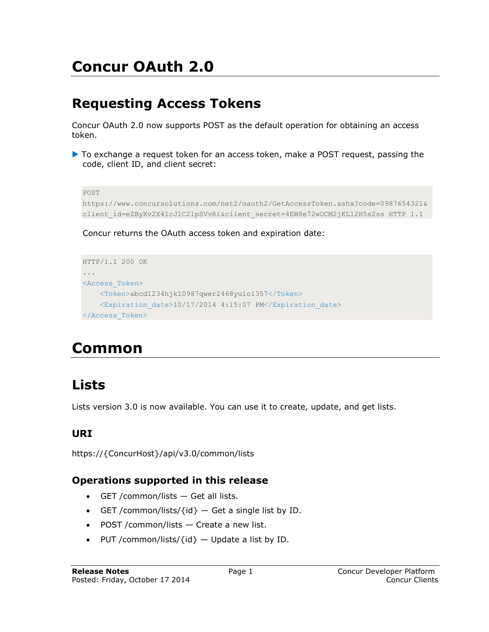# <span id="page-2-1"></span><span id="page-2-0"></span>**Concur OAuth 2.0**

## **Requesting Access Tokens**

Concur OAuth 2.0 now supports POST as the default operation for obtaining an access token.

▶ To exchange a request token for an access token, make a POST request, passing the code, client ID, and client secret:

```
POST 
https://www.concursolutions.com/net2/oauth2/GetAccessToken.ashx?code=0987654321&
client_id=eZByXv2X41cJlC21pSVvRi&client_secret=4EW8e72wOCM2jKL12H5s2ss HTTP 1.1
```
Concur returns the OAuth access token and expiration date:

```
HTTP/1.1 200 OK 
...
<Access_Token>
    <Token>abcd1234hjkl0987qwer2468yuio1357</Token>
    <Expiration_date>10/17/2014 4:15:07 PM</Expiration_date>
</Access_Token>
```
## <span id="page-2-3"></span><span id="page-2-2"></span>**Common**

## **Lists**

<span id="page-2-4"></span>Lists version 3.0 is now available. You can use it to create, update, and get lists.

### **URI**

<span id="page-2-5"></span>https://{ConcurHost}/api/v3.0/common/lists

### **Operations supported in this release**

- GET /common/lists Get all lists.
- GET / common/lists/ $\{id\}$  Get a single list by ID.
- $\bullet$  POST /common/lists  $-$  Create a new list.
- PUT /common/lists/ $\{id\}$  Update a list by ID.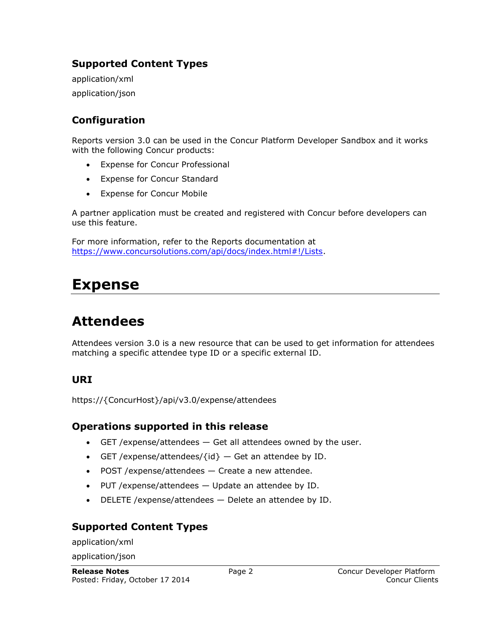### <span id="page-3-0"></span>**Supported Content Types**

application/xml application/json

## <span id="page-3-1"></span>**Configuration**

Reports version 3.0 can be used in the Concur Platform Developer Sandbox and it works with the following Concur products:

- Expense for Concur Professional
- Expense for Concur Standard
- Expense for Concur Mobile

A partner application must be created and registered with Concur before developers can use this feature.

For more information, refer to the Reports documentation at [https://www.concursolutions.com/api/docs/index.html#!/Lists.](https://www.concursolutions.com/api/docs/index.html#!/Lists)

## <span id="page-3-3"></span><span id="page-3-2"></span>**Expense**

## **Attendees**

Attendees version 3.0 is a new resource that can be used to get information for attendees matching a specific attendee type ID or a specific external ID.

### <span id="page-3-4"></span>**URI**

<span id="page-3-5"></span>https://{ConcurHost}/api/v3.0/expense/attendees

### **Operations supported in this release**

- GET / expense/attendees  $-$  Get all attendees owned by the user.
- GET /expense/attendees/ $\{id\}$  Get an attendee by ID.
- POST / expense/attendees Create a new attendee.
- PUT /expense/attendees Update an attendee by ID.
- DELETE /expense/attendees Delete an attendee by ID.

## <span id="page-3-6"></span>**Supported Content Types**

application/xml

application/json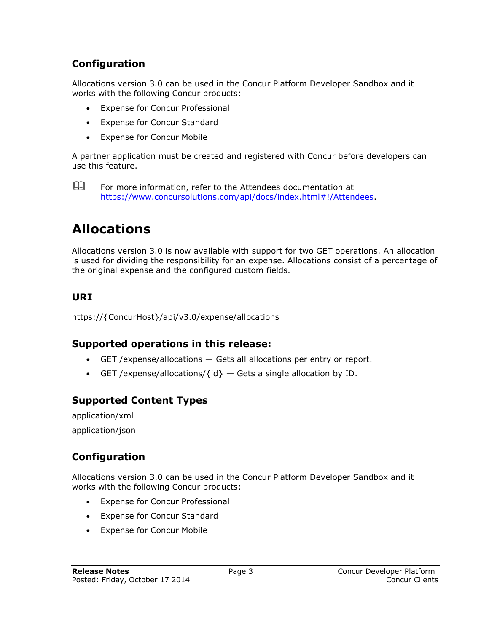### <span id="page-4-0"></span>**Configuration**

Allocations version 3.0 can be used in the Concur Platform Developer Sandbox and it works with the following Concur products:

- Expense for Concur Professional
- Expense for Concur Standard
- Expense for Concur Mobile

A partner application must be created and registered with Concur before developers can use this feature.

 $\Box$  For more information, refer to the Attendees documentation at [https://www.concursolutions.com/api/docs/index.html#!/Attendees.](https://www.concursolutions.com/api/docs/index.html#!/Attendees)

## <span id="page-4-1"></span>**Allocations**

Allocations version 3.0 is now available with support for two GET operations. An allocation is used for dividing the responsibility for an expense. Allocations consist of a percentage of the original expense and the configured custom fields.

### <span id="page-4-2"></span>**URI**

<span id="page-4-3"></span>https://{ConcurHost}/api/v3.0/expense/allocations

### **Supported operations in this release:**

- GET /expense/allocations Gets all allocations per entry or report.
- GET /expense/allocations/ $\{id\}$  Gets a single allocation by ID.

### <span id="page-4-4"></span>**Supported Content Types**

application/xml application/json

### <span id="page-4-5"></span>**Configuration**

Allocations version 3.0 can be used in the Concur Platform Developer Sandbox and it works with the following Concur products:

- Expense for Concur Professional
- Expense for Concur Standard
- Expense for Concur Mobile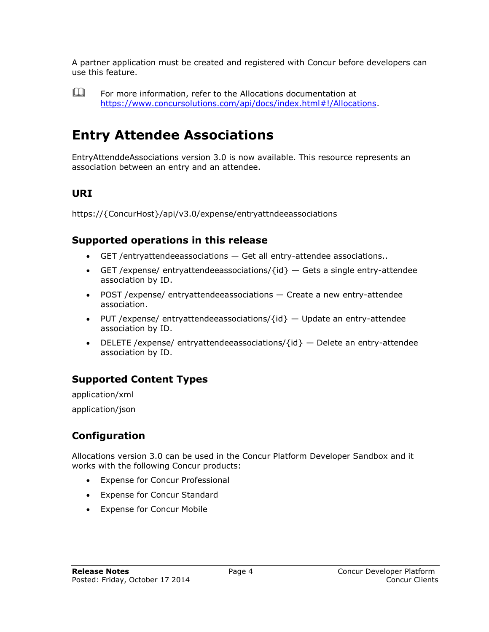A partner application must be created and registered with Concur before developers can use this feature.

 $\square$  For more information, refer to the Allocations documentation at [https://www.concursolutions.com/api/docs/index.html#!/Allocations.](https://www.concursolutions.com/api/docs/index.html#!/Allocations)

## <span id="page-5-0"></span>**Entry Attendee Associations**

EntryAttenddeAssociations version 3.0 is now available. This resource represents an association between an entry and an attendee.

### <span id="page-5-1"></span>**URI**

<span id="page-5-2"></span>https://{ConcurHost}/api/v3.0/expense/entryattndeeassociations

#### **Supported operations in this release**

- GET /entryattendeeassociations Get all entry-attendee associations..
- GET /expense/ entryattendeeassociations/ $\{id\}$  Gets a single entry-attendee association by ID.
- POST /expense/ entryattendeeassociations Create a new entry-attendee association.
- PUT /expense/ entryattendeeassociations/ $\{id\}$  Update an entry-attendee association by ID.
- DELETE /expense/ entryattendeeassociations/ $\{id\}$  Delete an entry-attendee association by ID.

### <span id="page-5-3"></span>**Supported Content Types**

application/xml

<span id="page-5-4"></span>application/json

### **Configuration**

Allocations version 3.0 can be used in the Concur Platform Developer Sandbox and it works with the following Concur products:

- Expense for Concur Professional
- Expense for Concur Standard
- Expense for Concur Mobile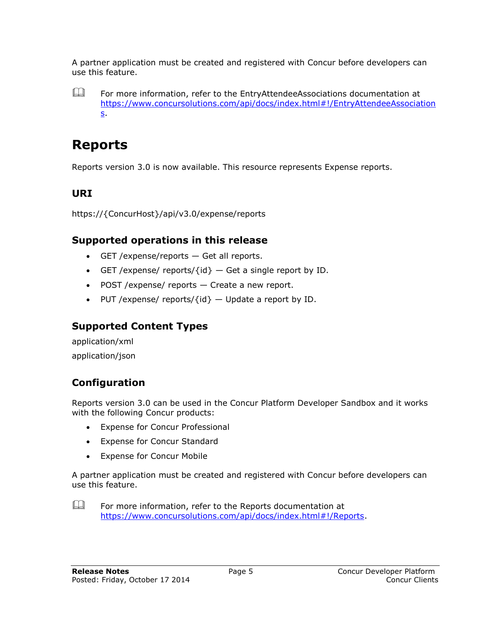A partner application must be created and registered with Concur before developers can use this feature.

 $\square$  For more information, refer to the EntryAttendeeAssociations documentation at [https://www.concursolutions.com/api/docs/index.html#!/EntryAttendeeAssociation](https://www.concursolutions.com/api/docs/index.html#!/EntryAttendeeAssociations) [s.](https://www.concursolutions.com/api/docs/index.html#!/EntryAttendeeAssociations)

## <span id="page-6-0"></span>**Reports**

<span id="page-6-1"></span>Reports version 3.0 is now available. This resource represents Expense reports.

### **URI**

<span id="page-6-2"></span>https://{ConcurHost}/api/v3.0/expense/reports

### **Supported operations in this release**

- GET /expense/reports Get all reports.
- GET / expense/ reports/ $\{id\}$  Get a single report by ID.
- POST / expense/ reports Create a new report.
- PUT /expense/ reports/ $\{id\}$  Update a report by ID.

### <span id="page-6-3"></span>**Supported Content Types**

application/xml application/json

## <span id="page-6-4"></span>**Configuration**

Reports version 3.0 can be used in the Concur Platform Developer Sandbox and it works with the following Concur products:

- Expense for Concur Professional
- Expense for Concur Standard
- Expense for Concur Mobile

A partner application must be created and registered with Concur before developers can use this feature.

 $\Box$  For more information, refer to the Reports documentation at [https://www.concursolutions.com/api/docs/index.html#!/Reports.](https://www.concursolutions.com/api/docs/index.html#!/Reports)